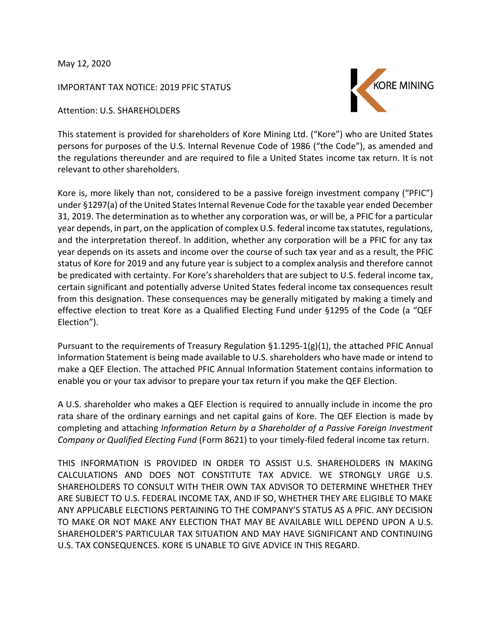May 12, 2020

IMPORTANT TAX NOTICE: 2019 PFIC STATUS

Attention: U.S. SHAREHOLDERS



This statement is provided for shareholders of Kore Mining Ltd. ("Kore") who are United States persons for purposes of the U.S. Internal Revenue Code of 1986 ("the Code"), as amended and the regulations thereunder and are required to file a United States income tax return. It is not relevant to other shareholders.

Kore is, more likely than not, considered to be a passive foreign investment company ("PFIC") under §1297(a) of the United States Internal Revenue Code for the taxable year ended December 31, 2019. The determination as to whether any corporation was, or will be, a PFIC for a particular year depends, in part, on the application of complex U.S. federal income tax statutes, regulations, and the interpretation thereof. In addition, whether any corporation will be a PFIC for any tax year depends on its assets and income over the course of such tax year and as a result, the PFIC status of Kore for 2019 and any future year is subject to a complex analysis and therefore cannot be predicated with certainty. For Kore's shareholders that are subject to U.S. federal income tax, certain significant and potentially adverse United States federal income tax consequences result from this designation. These consequences may be generally mitigated by making a timely and effective election to treat Kore as a Qualified Electing Fund under §1295 of the Code (a "QEF Election").

Pursuant to the requirements of Treasury Regulation  $\S 1.1295-1(g)(1)$ , the attached PFIC Annual Information Statement is being made available to U.S. shareholders who have made or intend to make a QEF Election. The attached PFIC Annual Information Statement contains information to enable you or your tax advisor to prepare your tax return if you make the QEF Election.

A U.S. shareholder who makes a QEF Election is required to annually include in income the pro rata share of the ordinary earnings and net capital gains of Kore. The QEF Election is made by completing and attaching *Information Return by a Shareholder of a Passive Foreign Investment Company or Qualified Electing Fund* (Form 8621) to your timely-filed federal income tax return.

THIS INFORMATION IS PROVIDED IN ORDER TO ASSIST U.S. SHAREHOLDERS IN MAKING CALCULATIONS AND DOES NOT CONSTITUTE TAX ADVICE. WE STRONGLY URGE U.S. SHAREHOLDERS TO CONSULT WITH THEIR OWN TAX ADVISOR TO DETERMINE WHETHER THEY ARE SUBJECT TO U.S. FEDERAL INCOME TAX, AND IF SO, WHETHER THEY ARE ELIGIBLE TO MAKE ANY APPLICABLE ELECTIONS PERTAINING TO THE COMPANY'S STATUS AS A PFIC. ANY DECISION TO MAKE OR NOT MAKE ANY ELECTION THAT MAY BE AVAILABLE WILL DEPEND UPON A U.S. SHAREHOLDER'S PARTICULAR TAX SITUATION AND MAY HAVE SIGNIFICANT AND CONTINUING U.S. TAX CONSEQUENCES. KORE IS UNABLE TO GIVE ADVICE IN THIS REGARD.